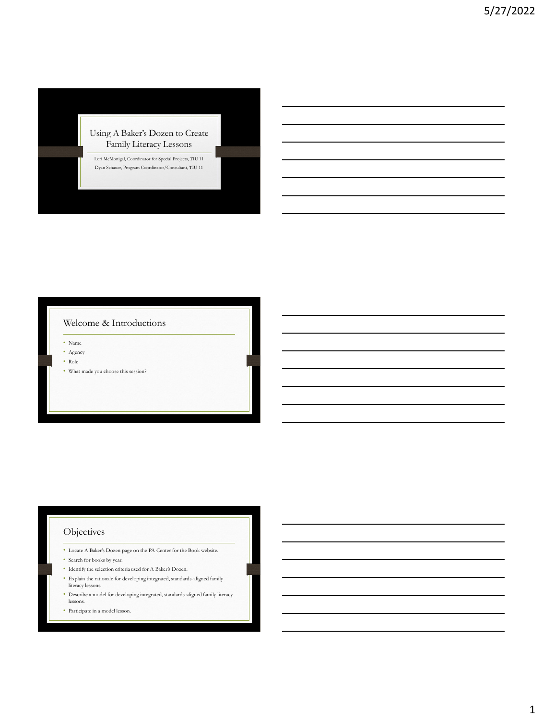#### Using A Baker's Dozen to Create Family Literacy Lessons

Lori McMonigal, Coordinator for Special Projects, TIU 11 Dyan Schauer, Program Coordinator/Consultant, TIU 11

#### Welcome & Introductions

• Name

- Agency
- Role
- What made you choose this session?

#### **Objectives**

- Locate A Baker's Dozen page on the PA Center for the Book website.
- Search for books by year.
- Identify the selection criteria used for A Baker's Dozen.
- Explain the rationale for developing integrated, standards-aligned family literacy lessons.
- Describe a model for developing integrated, standards-aligned family literacy lessons.
- Participate in a model lesson.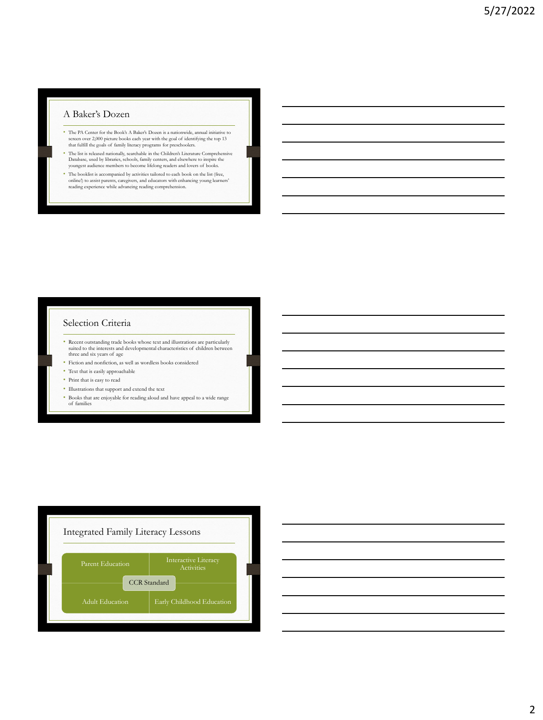#### A Baker's Dozen

- The PA Center for the Book's A Baker's Dozen is a nationwide, annual initiative to screen over 2,000 picture books each year with the goal of identifying the top 13 that fulfill the goals of family literacy programs for preschoolers.
- The list is released nationally, searchable in the Children's Literature Comprehensive Database, used by libraries, schools, family centers, and elsewhere to inspire the youngest audience members to become lifelong readers and lovers of books.
- The booklist is accompanied by activities tailored to each book on the list (free, online!) to assist parents, caregivers, and educators with enhancing young learners' reading experience while advancing reading comprehension.

## Selection Criteria

- Recent outstanding trade books whose text and illustrations are particularly suited to the interests and developmental characteristics of children between three and six years of age
- Fiction and nonfiction, as well as wordless books considered
- Text that is easily approachable
- Print that is easy to read
- Illustrations that support and extend the text
- Books that are enjoyable for reading aloud and have appeal to a wide range of families



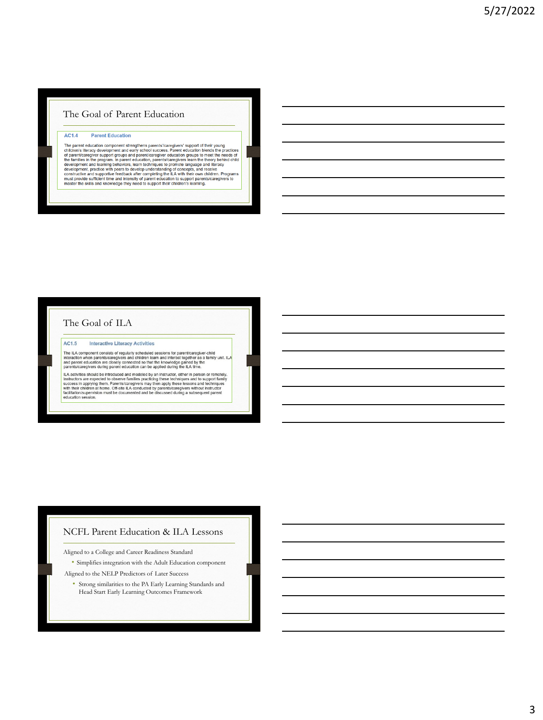#### The Goal of Parent Education

#### AC1.4 **Parent Education**

The parent education component strengthens parents'/caregivers' support of their young<br>children's literacy development and early school success. Parent education blends the practices<br>of parent/caregiver support groups and

# The Goal of ILA

AC1.5 **Interactive Literacy Activities** 

The ILA component consists of regularly scheduled sessions for parent/caregiver-child<br>Interaction when parents/caregivers and children hearn and interact together as a family unit. ILA<br>and parent education are closely conn

punctions and the introduced and modeled by an instructor, either in person or remotely.<br>ILA activities should be introduced and modeled by an instructor, either in person or remotely.<br>Instructors are expected to observe f

#### NCFL Parent Education & ILA Lessons

Aligned to a College and Career Readiness Standard

• Simplifies integration with the Adult Education component

Aligned to the NELP Predictors of Later Success

• Strong similarities to the PA Early Learning Standards and Head Start Early Learning Outcomes Framework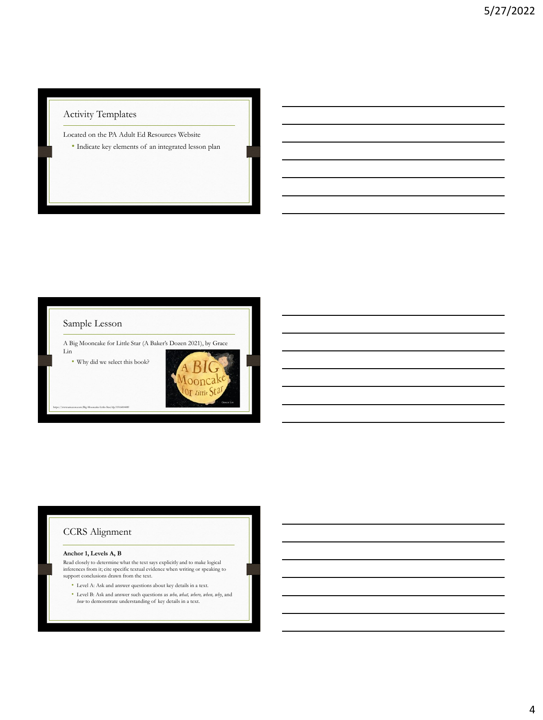# Activity Templates

Located on the PA Adult Ed Resources Website • Indicate key elements of an integrated lesson plan



### CCRS Alignment

#### **Anchor 1, Levels A, B**

Read closely to determine what the text says explicitly and to make logical inferences from it; cite specific textual evidence when writing or speaking to support conclusions drawn from the text.

- Level A: Ask and answer questions about key details in a text.
- Level B: Ask and answer such questions as *who, what, where, when, why*, and
- *how* to demonstrate understanding of key details in a text.